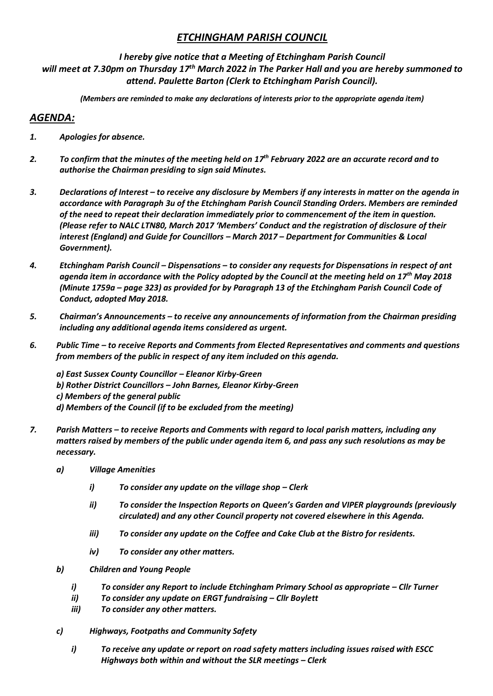# *ETCHINGHAM PARISH COUNCIL*

### *I hereby give notice that a Meeting of Etchingham Parish Council*

*will meet at 7.30pm on Thursday 17th March 2022 in The Parker Hall and you are hereby summoned to attend. Paulette Barton (Clerk to Etchingham Parish Council).* 

*(Members are reminded to make any declarations of interests prior to the appropriate agenda item)*

# *AGENDA:*

- *1. Apologies for absence.*
- *2. To confirm that the minutes of the meeting held on 17th February 2022 are an accurate record and to authorise the Chairman presiding to sign said Minutes.*
- *3. Declarations of Interest – to receive any disclosure by Members if any interests in matter on the agenda in accordance with Paragraph 3u of the Etchingham Parish Council Standing Orders. Members are reminded of the need to repeat their declaration immediately prior to commencement of the item in question. (Please refer to NALC LTN80, March 2017 'Members' Conduct and the registration of disclosure of their interest (England) and Guide for Councillors – March 2017 – Department for Communities & Local Government).*
- *4. Etchingham Parish Council – Dispensations – to consider any requests for Dispensations in respect of ant agenda item in accordance with the Policy adopted by the Council at the meeting held on 17th May 2018 (Minute 1759a – page 323) as provided for by Paragraph 13 of the Etchingham Parish Council Code of Conduct, adopted May 2018.*
- *5. Chairman's Announcements – to receive any announcements of information from the Chairman presiding including any additional agenda items considered as urgent.*
- *6. Public Time – to receive Reports and Comments from Elected Representatives and comments and questions from members of the public in respect of any item included on this agenda.*

*a) East Sussex County Councillor – Eleanor Kirby-Green b) Rother District Councillors – John Barnes, Eleanor Kirby-Green c) Members of the general public d) Members of the Council (if to be excluded from the meeting)*

- *7. Parish Matters – to receive Reports and Comments with regard to local parish matters, including any matters raised by members of the public under agenda item 6, and pass any such resolutions as may be necessary.*
	- *a) Village Amenities* 
		- *i*) To consider any update on the village shop Clerk
		- *ii) To consider the Inspection Reports on Queen's Garden and VIPER playgrounds (previously circulated) and any other Council property not covered elsewhere in this Agenda.*
		- *iii) To consider any update on the Coffee and Cake Club at the Bistro for residents.*
		- *iv) To consider any other matters.*
	- *b) Children and Young People*
		- *i*) *To consider any Report to include Etchingham Primary School as appropriate Cllr Turner*
		- *ii) To consider any update on ERGT fundraising – Cllr Boylett*
		- *iii) To consider any other matters.*
	- *c) Highways, Footpaths and Community Safety*
		- *i) To receive any update or report on road safety matters including issues raised with ESCC Highways both within and without the SLR meetings – Clerk*